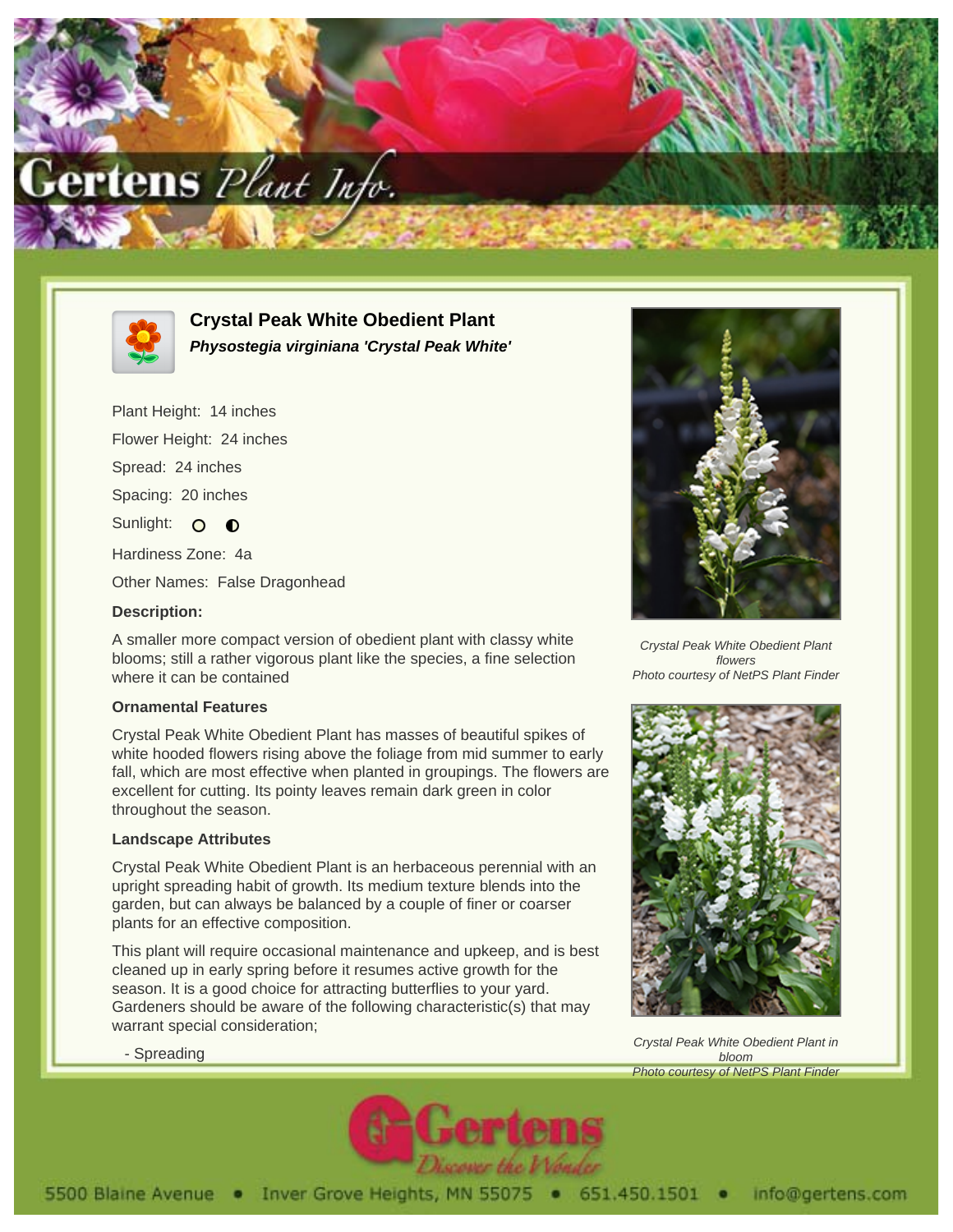



**Crystal Peak White Obedient Plant Physostegia virginiana 'Crystal Peak White'**

Plant Height: 14 inches Flower Height: 24 inches Spread: 24 inches Spacing: 20 inches Sunlight: 0 0 Hardiness Zone: 4a Other Names: False Dragonhead

## **Description:**

A smaller more compact version of obedient plant with classy white blooms; still a rather vigorous plant like the species, a fine selection where it can be contained

## **Ornamental Features**

Crystal Peak White Obedient Plant has masses of beautiful spikes of white hooded flowers rising above the foliage from mid summer to early fall, which are most effective when planted in groupings. The flowers are excellent for cutting. Its pointy leaves remain dark green in color throughout the season.

## **Landscape Attributes**

Crystal Peak White Obedient Plant is an herbaceous perennial with an upright spreading habit of growth. Its medium texture blends into the garden, but can always be balanced by a couple of finer or coarser plants for an effective composition.

This plant will require occasional maintenance and upkeep, and is best cleaned up in early spring before it resumes active growth for the season. It is a good choice for attracting butterflies to your yard. Gardeners should be aware of the following characteristic(s) that may warrant special consideration;



Crystal Peak White Obedient Plant flowers Photo courtesy of NetPS Plant Finder



Crystal Peak White Obedient Plant in bloom Photo courtesy of NetPS Plant Finder

- Spreading